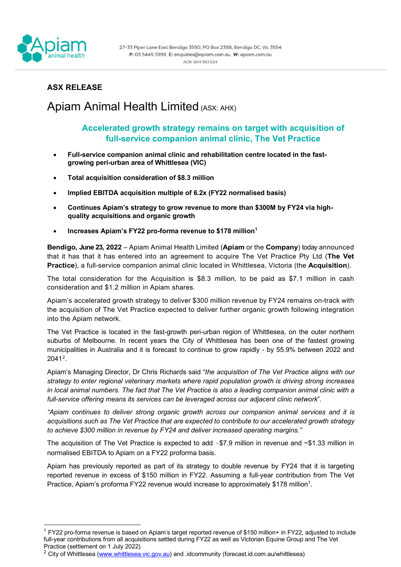

## **ASX RELEASE**

# Apiam Animal Health Limited (ASX: AHX)

### **Accelerated growth strategy remains on target with acquisition of full-service companion animal clinic, The Vet Practice**

- **Full-service companion animal clinic and rehabilitation centre located in the fastgrowing peri-urban area of Whittlesea (VIC)**
- **Total acquisition consideration of \$8.3 million**
- **Implied EBITDA acquisition multiple of 6.2x (FY22 normalised basis)**
- **Continues Apiam's strategy to grow revenue to more than \$300M by FY24 via highquality acquisitions and organic growth**
- **Increases Apiam's FY22 pro-forma revenue to \$178 million[1](#page-0-0)**

**Bendigo, June 23, 2022** – Apiam Animal Health Limited (**Apiam** or the **Company**) today announced that it has that it has entered into an agreement to acquire The Vet Practice Pty Ltd (**The Vet Practice**), a full-service companion animal clinic located in Whittlesea, Victoria (the **Acquisition**).

The total consideration for the Acquisition is \$8.3 million, to be paid as \$7.1 million in cash consideration and \$1.2 million in Apiam shares.

Apiam's accelerated growth strategy to deliver \$300 million revenue by FY24 remains on-track with the acquisition of The Vet Practice expected to deliver further organic growth following integration into the Apiam network.

The Vet Practice is located in the fast-growth peri-urban region of Whittlesea, on the outer northern suburbs of Melbourne. In recent years the City of Whittlesea has been one of the fastest growing municipalities in Australia and it is forecast to continue to grow rapidly - by 55.9% between 2022 and 2041[2](#page-0-1).

Apiam's Managing Director, Dr Chris Richards said "*the acquisition of The Vet Practice aligns with our strategy to enter regional veterinary markets where rapid population growth is driving strong increases in local animal numbers. The fact that The Vet Practice is also a leading companion animal clinic with a full-service offering means its services can be leveraged across our adjacent clinic network*".

*"Apiam continues to deliver strong organic growth across our companion animal services and it is acquisitions such as The Vet Practice that are expected to contribute to our accelerated growth strategy to achieve \$300 million in revenue by FY24 and deliver increased operating margins."*

The acquisition of The Vet Practice is expected to add ~\$7.9 million in revenue and ~\$1.33 million in normalised EBITDA to Apiam on a FY22 proforma basis.

Apiam has previously reported as part of its strategy to double revenue by FY24 that it is targeting reported revenue in excess of \$150 million in FY22. Assuming a full-year contribution from The Vet Practice, Apiam's proforma FY22 revenue would increase to approximately \$178 million<sup>1</sup>.

<span id="page-0-0"></span><sup>1</sup> FY22 pro-forma revenue is based on Apiam's target reported revenue of \$150 million+ in FY22, adjusted to include full-year contributions from all acquisitions settled during FY22 as well as Victorian Equine Group and The Vet Practice (settlement on 1 July 2022)

<span id="page-0-1"></span><sup>&</sup>lt;sup>2</sup> City of Whittlesea [\(www.whittlesea.vic.gov.au\)](http://www.whittlesea.vic.gov.au/) and .idcommunity (forecast.id.com.au/whittlesea)